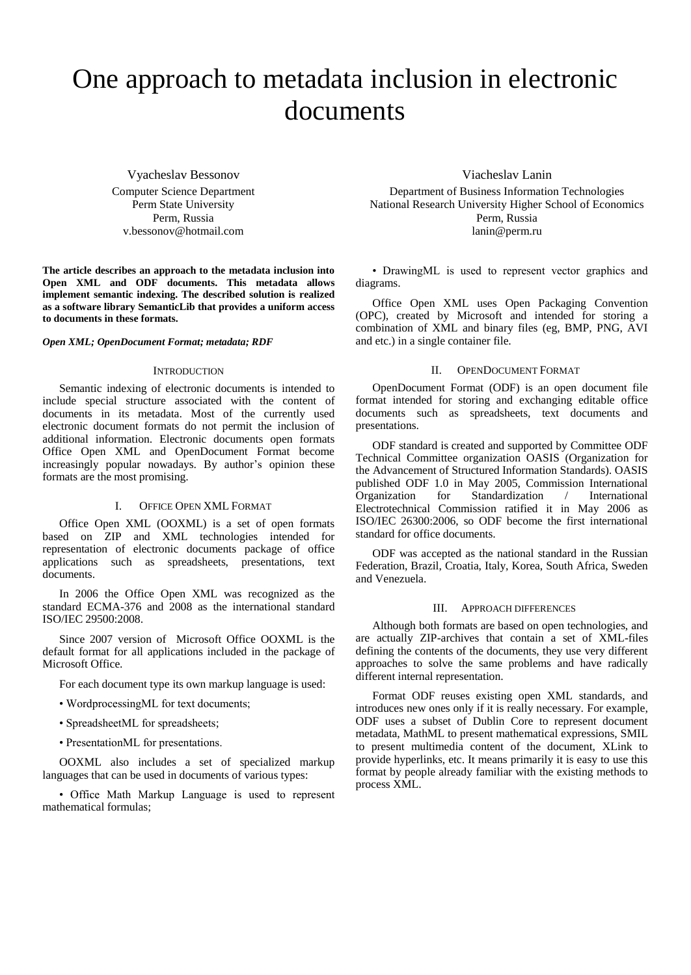# One approach to metadata inclusion in electronic documents

Vyacheslav Bessonov Computer Science Department Perm State University Perm, Russia v.bessonov@hotmail.com

**The article describes an approach to the metadata inclusion into Open XML and ODF documents. This metadata allows implement semantic indexing. The described solution is realized as a software library SemanticLib that provides a uniform access to documents in these formats.**

*Open XML; OpenDocument Format; metadata; RDF*

## **INTRODUCTION**

Semantic indexing of electronic documents is intended to include special structure associated with the content of documents in its metadata. Most of the currently used electronic document formats do not permit the inclusion of additional information. Electronic documents open formats Office Open XML and OpenDocument Format become increasingly popular nowadays. By author's opinion these formats are the most promising.

## I. OFFICE OPEN XML FORMAT

Office Open XML (OOXML) is a set of open formats based on ZIP and XML technologies intended for representation of electronic documents package of office applications such as spreadsheets, presentations, text documents.

In 2006 the Office Open XML was recognized as the standard ECMA-376 and 2008 as the international standard ISO/IEC 29500:2008.

Since 2007 version of Microsoft Office OOXML is the default format for all applications included in the package of Microsoft Office.

For each document type its own markup language is used:

• WordprocessingML for text documents;

• SpreadsheetML for spreadsheets;

• PresentationML for presentations.

OOXML also includes a set of specialized markup languages that can be used in documents of various types:

• Office Math Markup Language is used to represent mathematical formulas;

Viacheslav Lanin

Department of Business Information Technologies National Research University Higher School of Economics Perm, Russia lanin@perm.ru

• DrawingML is used to represent vector graphics and diagrams.

Office Open XML uses Open Packaging Convention (OPC), created by Microsoft and intended for storing a combination of XML and binary files (eg, BMP, PNG, AVI and etc.) in a single container file.

## II. OPENDOCUMENT FORMAT

OpenDocument Format (ODF) is an open document file format intended for storing and exchanging editable office documents such as spreadsheets, text documents and presentations.

ODF standard is created and supported by Committee ODF Technical Committee organization OASIS (Organization for the Advancement of Structured Information Standards). OASIS published ODF 1.0 in May 2005, Commission International Organization for Standardization / International Electrotechnical Commission ratified it in May 2006 as ISO/IEC 26300:2006, so ODF become the first international standard for office documents.

ODF was accepted as the national standard in the Russian Federation, Brazil, Croatia, Italy, Korea, South Africa, Sweden and Venezuela.

#### III. APPROACH DIFFERENCES

Although both formats are based on open technologies, and are actually ZIP-archives that contain a set of XML-files defining the contents of the documents, they use very different approaches to solve the same problems and have radically different internal representation.

Format ODF reuses existing open XML standards, and introduces new ones only if it is really necessary. For example, ODF uses a subset of Dublin Core to represent document metadata, MathML to present mathematical expressions, SMIL to present multimedia content of the document, XLink to provide hyperlinks, etc. It means primarily it is easy to use this format by people already familiar with the existing methods to process XML.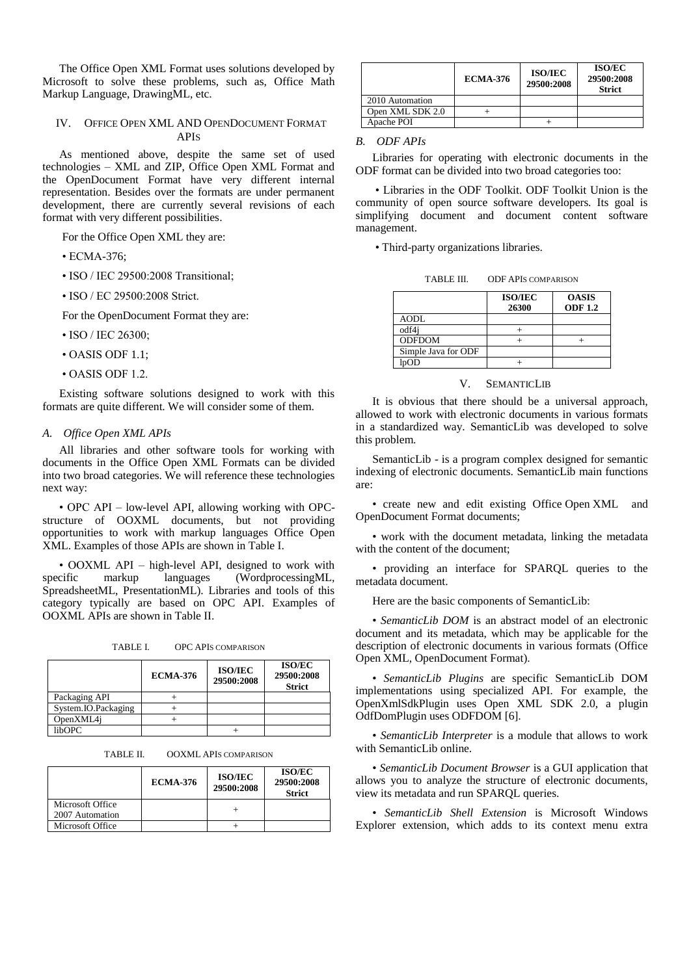The Office Open XML Format uses solutions developed by Microsoft to solve these problems, such as, Office Math Markup Language, DrawingML, etc.

## IV. OFFICE OPEN XML AND OPENDOCUMENT FORMAT APIS

As mentioned above, despite the same set of used technologies – XML and ZIP, Office Open XML Format and the OpenDocument Format have very different internal representation. Besides over the formats are under permanent development, there are currently several revisions of each format with very different possibilities.

For the Office Open XML they are:

- ECMA-376;
- ISO / IEC 29500:2008 Transitional:
- ISO / EC 29500:2008 Strict.

For the OpenDocument Format they are:

- ISO / IEC 26300;
- OASIS ODF 1.1;
- OASIS ODF 1.2.

Existing software solutions designed to work with this formats are quite different. We will consider some of them.

#### *A. Office Open XML APIs*

All libraries and other software tools for working with documents in the Office Open XML Formats can be divided into two broad categories. We will reference these technologies next way:

• OPC API – low-level API, allowing working with OPCstructure of OOXML documents, but not providing opportunities to work with markup languages Office Open XML. Examples of those APIs are shown in Table I.

• OOXML API – high-level API, designed to work with specific markup languages (WordprocessingML, SpreadsheetML, PresentationML). Libraries and tools of this category typically are based on OPC API. Examples of OOXML APIs are shown in Table II.

TABLE I. OPC APIS COMPARISON

|                     | <b>ECMA-376</b> | <b>ISO/IEC</b><br>29500:2008 | <b>ISO/EC</b><br>29500:2008<br><b>Strict</b> |
|---------------------|-----------------|------------------------------|----------------------------------------------|
| Packaging API       |                 |                              |                                              |
| System.IO.Packaging |                 |                              |                                              |
| OpenXML4j           |                 |                              |                                              |
| libOPC.             |                 |                              |                                              |

TABLE II. OOXML APIS COMPARISON

|                  | <b>ECMA-376</b> | <b>ISO/IEC</b><br>29500:2008 | <b>ISO/EC</b><br>29500:2008<br><b>Strict</b> |
|------------------|-----------------|------------------------------|----------------------------------------------|
| Microsoft Office |                 |                              |                                              |
| 2007 Automation  |                 |                              |                                              |
| Microsoft Office |                 |                              |                                              |

|                  | <b>ECMA-376</b> | <b>ISO/IEC</b><br>29500:2008 | <b>ISO/EC</b><br>29500:2008<br><b>Strict</b> |
|------------------|-----------------|------------------------------|----------------------------------------------|
| 2010 Automation  |                 |                              |                                              |
| Open XML SDK 2.0 |                 |                              |                                              |
| Apache POI       |                 |                              |                                              |

## *B. ODF APIs*

Libraries for operating with electronic documents in the ODF format can be divided into two broad categories too:

• Libraries in the ODF Toolkit. ODF Toolkit Union is the community of open source software developers. Its goal is simplifying document and document content software management.

• Third-party organizations libraries.

TABLE III. ODF APIS COMPARISON

|                     | <b>ISO/IEC</b><br>26300 | <b>OASIS</b><br><b>ODF 1.2</b> |
|---------------------|-------------------------|--------------------------------|
| <b>AODL</b>         |                         |                                |
| odf4j               |                         |                                |
| <b>ODFDOM</b>       |                         |                                |
| Simple Java for ODF |                         |                                |
| nOD                 |                         |                                |

V. SEMANTICLIB

It is obvious that there should be a universal approach, allowed to work with electronic documents in various formats in a standardized way. SemanticLib was developed to solve this problem.

SemanticLib - is a program complex designed for semantic indexing of electronic documents. SemanticLib main functions are:

• create new and edit existing Office Open XML and OpenDocument Format documents;

• work with the document metadata, linking the metadata with the content of the document;

• providing an interface for SPARQL queries to the metadata document.

Here are the basic components of SemanticLib:

• *SemanticLib DOM* is an abstract model of an electronic document and its metadata, which may be applicable for the description of electronic documents in various formats (Office Open XML, OpenDocument Format).

• *SemanticLib Plugins* are specific SemanticLib DOM implementations using specialized API. For example, the OpenXmlSdkPlugin uses Open XML SDK 2.0, a plugin OdfDomPlugin uses ODFDOM [6].

• *SemanticLib Interpreter* is a module that allows to work with SemanticLib online.

• *SemanticLib Document Browser* is a GUI application that allows you to analyze the structure of electronic documents, view its metadata and run SPARQL queries.

• *SemanticLib Shell Extension* is Microsoft Windows Explorer extension, which adds to its context menu extra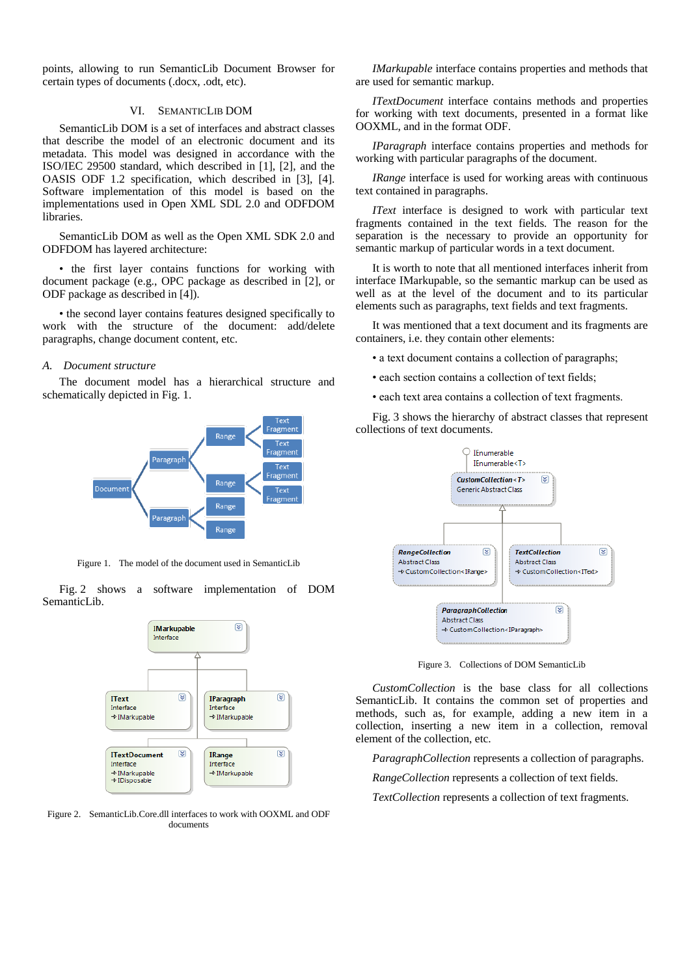points, allowing to run SemanticLib Document Browser for certain types of documents (.docx, .odt, etc).

# VI. SEMANTICLIB DOM

SemanticLib DOM is a set of interfaces and abstract classes that describe the model of an electronic document and its metadata. This model was designed in accordance with the ISO/IEC 29500 standard, which described in [1], [2], and the OASIS ODF 1.2 specification, which described in [3], [4]. Software implementation of this model is based on the implementations used in Open XML SDL 2.0 and ODFDOM libraries.

SemanticLib DOM as well as the Open XML SDK 2.0 and ODFDOM has layered architecture:

• the first layer contains functions for working with document package (e.g., OPC package as described in [2], or ODF package as described in [4]).

• the second layer contains features designed specifically to work with the structure of the document: add/delete paragraphs, change document content, etc.

#### *A. Document structure*

The document model has a hierarchical structure and schematically depicted in Fig. 1.



Figure 1. The model of the document used in SemanticLib

Fig. 2 shows a software implementation of DOM SemanticLib.



Figure 2. SemanticLib.Core.dll interfaces to work with OOXML and ODF documents

*IMarkupable* interface contains properties and methods that are used for semantic markup.

*ITextDocument* interface contains methods and properties for working with text documents, presented in a format like OOXML, and in the format ODF.

*IParagraph* interface contains properties and methods for working with particular paragraphs of the document.

*IRange* interface is used for working areas with continuous text contained in paragraphs.

*IText* interface is designed to work with particular text fragments contained in the text fields. The reason for the separation is the necessary to provide an opportunity for semantic markup of particular words in a text document.

It is worth to note that all mentioned interfaces inherit from interface IMarkupable, so the semantic markup can be used as well as at the level of the document and to its particular elements such as paragraphs, text fields and text fragments.

It was mentioned that a text document and its fragments are containers, i.e. they contain other elements:

- a text document contains a collection of paragraphs;
- each section contains a collection of text fields;
- each text area contains a collection of text fragments.

Fig. 3 shows the hierarchy of abstract classes that represent collections of text documents.



Figure 3. Collections of DOM SemanticLib

*CustomCollection* is the base class for all collections SemanticLib. It contains the common set of properties and methods, such as, for example, adding a new item in a collection, inserting a new item in a collection, removal element of the collection, etc.

*ParagraphCollection* represents a collection of paragraphs.

*RangeCollection* represents a collection of text fields.

*TextCollection* represents a collection of text fragments.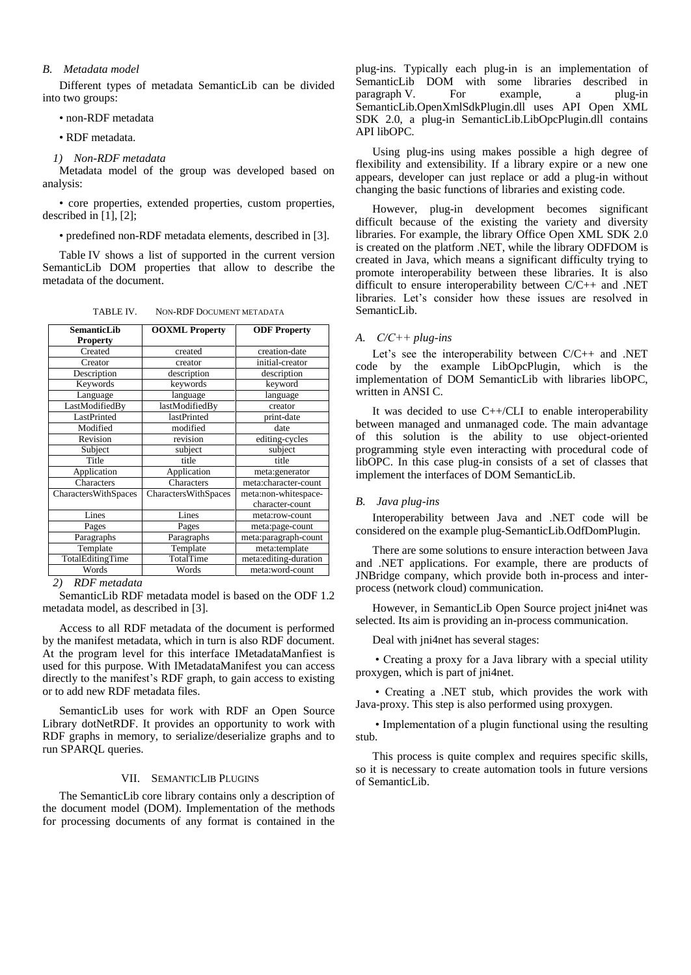## *B. Metadata model*

Different types of metadata SemanticLib can be divided into two groups:

- non-RDF metadata
- RDF metadata.

*1) Non-RDF metadata*

Metadata model of the group was developed based on analysis:

• core properties, extended properties, custom properties, described in [1], [2];

• predefined non-RDF metadata elements, described in [3].

Table IV shows a list of supported in the current version SemanticLib DOM properties that allow to describe the metadata of the document.

TABLE IV. NON-RDF DOCUMENT METADATA

| <b>SemanticLib</b>   | <b>OOXML Property</b> | <b>ODF Property</b>   |
|----------------------|-----------------------|-----------------------|
| Property             |                       |                       |
| Created              | created               | creation-date         |
| Creator              | creator               | initial-creator       |
| Description          | description           | description           |
| Keywords             | keywords              | keyword               |
| Language             | language              | language              |
| LastModifiedBy       | lastModifiedBy        | creator               |
| LastPrinted          | lastPrinted           | print-date            |
| Modified             | modified              | date                  |
| Revision             | revision              | editing-cycles        |
| Subject              | subject               | subject               |
| Title                | title                 | title                 |
| Application          | Application           | meta:generator        |
| Characters           | Characters            | meta:character-count  |
| CharactersWithSpaces | CharactersWithSpaces  | meta:non-whitespace-  |
|                      |                       | character-count       |
| Lines                | Lines                 | meta:row-count        |
| Pages                | Pages                 | meta:page-count       |
| Paragraphs           | Paragraphs            | meta:paragraph-count  |
| Template             | Template              | meta:template         |
| TotalEditingTime     | TotalTime             | meta:editing-duration |
| Words                | Words                 | meta:word-count       |

#### *2) RDF metadata*

SemanticLib RDF metadata model is based on the ODF 1.2 metadata model, as described in [3].

Access to all RDF metadata of the document is performed by the manifest metadata, which in turn is also RDF document. At the program level for this interface IMetadataManfiest is used for this purpose. With IMetadataManifest you can access directly to the manifest's RDF graph, to gain access to existing or to add new RDF metadata files.

SemanticLib uses for work with RDF an Open Source Library dotNetRDF. It provides an opportunity to work with RDF graphs in memory, to serialize/deserialize graphs and to run SPARQL queries.

## VII. SEMANTICLIB PLUGINS

The SemanticLib core library contains only a description of the document model (DOM). Implementation of the methods for processing documents of any format is contained in the

plug-ins. Typically each plug-in is an implementation of SemanticLib DOM with some libraries described in paragraph V. For example, a plug-in paragraph V. For example, a SemanticLib.OpenXmlSdkPlugin.dll uses API Open XML SDK 2.0, a plug-in SemanticLib.LibOpcPlugin.dll contains API libOPC.

Using plug-ins using makes possible a high degree of flexibility and extensibility. If a library expire or a new one appears, developer can just replace or add a plug-in without changing the basic functions of libraries and existing code.

However, plug-in development becomes significant difficult because of the existing the variety and diversity libraries. For example, the library Office Open XML SDK 2.0 is created on the platform .NET, while the library ODFDOM is created in Java, which means a significant difficulty trying to promote interoperability between these libraries. It is also difficult to ensure interoperability between C/C++ and .NET libraries. Let's consider how these issues are resolved in SemanticLib.

## *A. С/С++ plug-ins*

Let's see the interoperability between C/C++ and .NET code by the example LibOpcPlugin, which is the implementation of DOM SemanticLib with libraries libOPC, written in ANSI C.

It was decided to use C++/CLI to enable interoperability between managed and unmanaged code. The main advantage of this solution is the ability to use object-oriented programming style even interacting with procedural code of libOPC. In this case plug-in consists of a set of classes that implement the interfaces of DOM SemanticLib.

## *B. Java plug-ins*

Interoperability between Java and .NET code will be considered on the example plug-SemanticLib.OdfDomPlugin.

There are some solutions to ensure interaction between Java and .NET applications. For example, there are products of JNBridge company, which provide both in-process and interprocess (network cloud) communication.

However, in SemanticLib Open Source project jni4net was selected. Its aim is providing an in-process communication.

Deal with jni4net has several stages:

• Creating a proxy for a Java library with a special utility proxygen, which is part of jni4net.

• Creating a .NET stub, which provides the work with Java-proxy. This step is also performed using proxygen.

• Implementation of a plugin functional using the resulting stub.

This process is quite complex and requires specific skills, so it is necessary to create automation tools in future versions of SemanticLib.